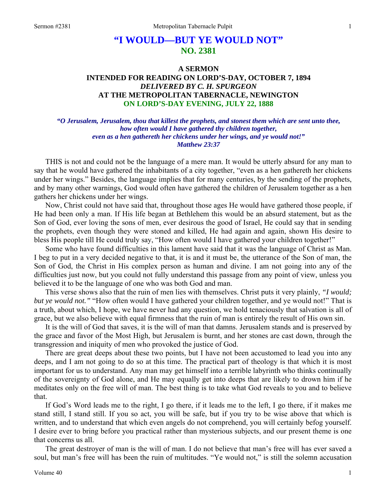# **"I WOULD—BUT YE WOULD NOT" NO. 2381**

# **A SERMON INTENDED FOR READING ON LORD'S-DAY, OCTOBER 7, 1894**  *DELIVERED BY C. H. SPURGEON*  **AT THE METROPOLITAN TABERNACLE, NEWINGTON ON LORD'S-DAY EVENING, JULY 22, 1888**

*"O Jerusalem, Jerusalem, thou that killest the prophets, and stonest them which are sent unto thee, how often would I have gathered thy children together, even as a hen gathereth her chickens under her wings, and ye would not!" Matthew 23:37* 

THIS is not and could not be the language of a mere man. It would be utterly absurd for any man to say that he would have gathered the inhabitants of a city together, "even as a hen gathereth her chickens under her wings." Besides, the language implies that for many centuries, by the sending of the prophets, and by many other warnings, God would often have gathered the children of Jerusalem together as a hen gathers her chickens under her wings.

Now, Christ could not have said that, throughout those ages He would have gathered those people, if He had been only a man. If His life began at Bethlehem this would be an absurd statement, but as the Son of God, ever loving the sons of men, ever desirous the good of Israel, He could say that in sending the prophets, even though they were stoned and killed, He had again and again, shown His desire to bless His people till He could truly say, "How often would I have gathered your children together!"

Some who have found difficulties in this lament have said that it was the language of Christ as Man. I beg to put in a very decided negative to that, it is and it must be, the utterance of the Son of man, the Son of God, the Christ in His complex person as human and divine. I am not going into any of the difficulties just now, but you could not fully understand this passage from any point of view, unless you believed it to be the language of one who was both God and man.

This verse shows also that the ruin of men lies with themselves. Christ puts it very plainly, *"I would; but ye would not."* "How often would I have gathered your children together, and ye would not!" That is a truth, about which, I hope, we have never had any question, we hold tenaciously that salvation is all of grace, but we also believe with equal firmness that the ruin of man is entirely the result of His own sin.

It is the will of God that saves, it is the will of man that damns. Jerusalem stands and is preserved by the grace and favor of the Most High, but Jerusalem is burnt, and her stones are cast down, through the transgression and iniquity of men who provoked the justice of God.

There are great deeps about these two points, but I have not been accustomed to lead you into any deeps, and I am not going to do so at this time. The practical part of theology is that which it is most important for us to understand. Any man may get himself into a terrible labyrinth who thinks continually of the sovereignty of God alone, and He may equally get into deeps that are likely to drown him if he meditates only on the free will of man. The best thing is to take what God reveals to you and to believe that.

If God's Word leads me to the right, I go there, if it leads me to the left, I go there, if it makes me stand still, I stand still. If you so act, you will be safe, but if you try to be wise above that which is written, and to understand that which even angels do not comprehend, you will certainly befog yourself. I desire ever to bring before you practical rather than mysterious subjects, and our present theme is one that concerns us all.

The great destroyer of man is the will of man. I do not believe that man's free will has ever saved a soul, but man's free will has been the ruin of multitudes. "Ye would not," is still the solemn accusation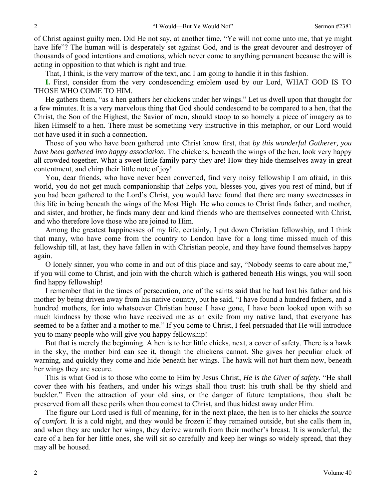of Christ against guilty men. Did He not say, at another time, "Ye will not come unto me, that ye might have life"? The human will is desperately set against God, and is the great devourer and destroyer of thousands of good intentions and emotions, which never come to anything permanent because the will is acting in opposition to that which is right and true.

That, I think, is the very marrow of the text, and I am going to handle it in this fashion.

**I.** First, consider from the very condescending emblem used by our Lord, WHAT GOD IS TO THOSE WHO COME TO HIM.

He gathers them, "as a hen gathers her chickens under her wings." Let us dwell upon that thought for a few minutes. It is a very marvelous thing that God should condescend to be compared to a hen, that the Christ, the Son of the Highest, the Savior of men, should stoop to so homely a piece of imagery as to liken Himself to a hen. There must be something very instructive in this metaphor, or our Lord would not have used it in such a connection.

Those of you who have been gathered unto Christ know first, that *by this wonderful Gatherer, you have been gathered into happy association*. The chickens, beneath the wings of the hen, look very happy all crowded together. What a sweet little family party they are! How they hide themselves away in great contentment, and chirp their little note of joy!

You, dear friends, who have never been converted, find very noisy fellowship I am afraid, in this world, you do not get much companionship that helps you, blesses you, gives you rest of mind, but if you had been gathered to the Lord's Christ, you would have found that there are many sweetnesses in this life in being beneath the wings of the Most High. He who comes to Christ finds father, and mother, and sister, and brother, he finds many dear and kind friends who are themselves connected with Christ, and who therefore love those who are joined to Him.

Among the greatest happinesses of my life, certainly, I put down Christian fellowship, and I think that many, who have come from the country to London have for a long time missed much of this fellowship till, at last, they have fallen in with Christian people, and they have found themselves happy again.

O lonely sinner, you who come in and out of this place and say, "Nobody seems to care about me," if you will come to Christ, and join with the church which is gathered beneath His wings, you will soon find happy fellowship!

I remember that in the times of persecution, one of the saints said that he had lost his father and his mother by being driven away from his native country, but he said, "I have found a hundred fathers, and a hundred mothers, for into whatsoever Christian house I have gone, I have been looked upon with so much kindness by those who have received me as an exile from my native land, that everyone has seemed to be a father and a mother to me." If you come to Christ, I feel persuaded that He will introduce you to many people who will give you happy fellowship!

But that is merely the beginning. A hen is to her little chicks, next, a cover of safety. There is a hawk in the sky, the mother bird can see it, though the chickens cannot. She gives her peculiar cluck of warning, and quickly they come and hide beneath her wings. The hawk will not hurt them now, beneath her wings they are secure.

This is what God is to those who come to Him by Jesus Christ, *He is the Giver of safety*. "He shall cover thee with his feathers, and under his wings shall thou trust: his truth shall be thy shield and buckler." Even the attraction of your old sins, or the danger of future temptations, thou shalt be preserved from all these perils when thou comest to Christ, and thus hidest away under Him.

The figure our Lord used is full of meaning, for in the next place, the hen is to her chicks *the source of comfort*. It is a cold night, and they would be frozen if they remained outside, but she calls them in, and when they are under her wings, they derive warmth from their mother's breast. It is wonderful, the care of a hen for her little ones, she will sit so carefully and keep her wings so widely spread, that they may all be housed.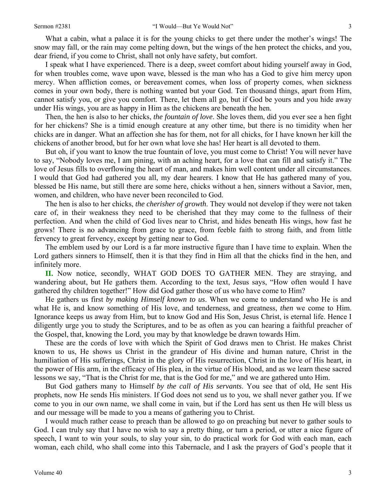What a cabin, what a palace it is for the young chicks to get there under the mother's wings! The snow may fall, or the rain may come pelting down, but the wings of the hen protect the chicks, and you, dear friend, if you come to Christ, shall not only have safety, but comfort.

I speak what I have experienced. There is a deep, sweet comfort about hiding yourself away in God, for when troubles come, wave upon wave, blessed is the man who has a God to give him mercy upon mercy. When affliction comes, or bereavement comes, when loss of property comes, when sickness comes in your own body, there is nothing wanted but your God. Ten thousand things, apart from Him, cannot satisfy you, or give you comfort. There, let them all go, but if God be yours and you hide away under His wings, you are as happy in Him as the chickens are beneath the hen.

Then, the hen is also to her chicks, *the fountain of love*. She loves them, did you ever see a hen fight for her chickens? She is a timid enough creature at any other time, but there is no timidity when her chicks are in danger. What an affection she has for them, not for all chicks, for I have known her kill the chickens of another brood, but for her own what love she has! Her heart is all devoted to them.

But oh, if you want to know the true fountain of love, you must come to Christ! You will never have to say, "Nobody loves me, I am pining, with an aching heart, for a love that can fill and satisfy it." The love of Jesus fills to overflowing the heart of man, and makes him well content under all circumstances. I would that God had gathered you all, my dear hearers. I know that He has gathered many of you, blessed be His name, but still there are some here, chicks without a hen, sinners without a Savior, men, women, and children, who have never been reconciled to God.

The hen is also to her chicks, *the cherisher of growth*. They would not develop if they were not taken care of, in their weakness they need to be cherished that they may come to the fullness of their perfection. And when the child of God lives near to Christ, and hides beneath His wings, how fast he grows! There is no advancing from grace to grace, from feeble faith to strong faith, and from little fervency to great fervency, except by getting near to God.

The emblem used by our Lord is a far more instructive figure than I have time to explain. When the Lord gathers sinners to Himself, then it is that they find in Him all that the chicks find in the hen, and infinitely more.

**II.** Now notice, secondly, WHAT GOD DOES TO GATHER MEN. They are straying, and wandering about, but He gathers them. According to the text, Jesus says, "How often would I have gathered thy children together!" How did God gather those of us who have come to Him?

He gathers us first *by making Himself known to us*. When we come to understand who He is and what He is, and know something of His love, and tenderness, and greatness, *then* we come to Him. Ignorance keeps us away from Him, but to know God and His Son, Jesus Christ, is eternal life. Hence I diligently urge you to study the Scriptures, and to be as often as you can hearing a faithful preacher of the Gospel, that, knowing the Lord, you may by that knowledge be drawn towards Him.

These are the cords of love with which the Spirit of God draws men to Christ. He makes Christ known to us, He shows us Christ in the grandeur of His divine and human nature, Christ in the humiliation of His sufferings, Christ in the glory of His resurrection, Christ in the love of His heart, in the power of His arm, in the efficacy of His plea, in the virtue of His blood, and as we learn these sacred lessons we say, "That is the Christ for me, that is the God for me," and we are gathered unto Him.

But God gathers many to Himself *by the call of His servants*. You see that of old, He sent His prophets, now He sends His ministers. If God does not send us to you, we shall never gather you. If we come to you in our own name, we shall come in vain, but if the Lord has sent us then He will bless us and our message will be made to you a means of gathering you to Christ.

I would much rather cease to preach than be allowed to go on preaching but never to gather souls to God. I can truly say that I have no wish to say a pretty thing, or turn a period, or utter a nice figure of speech, I want to win your souls, to slay your sin, to do practical work for God with each man, each woman, each child, who shall come into this Tabernacle, and I ask the prayers of God's people that it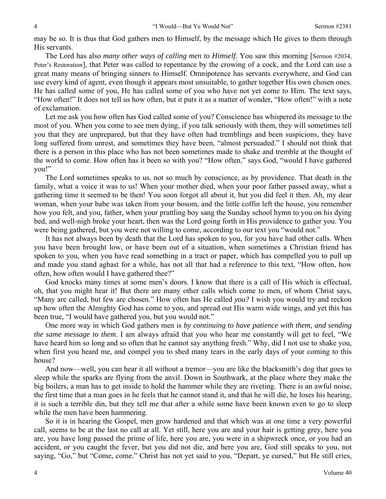may be so. It is thus that God gathers men to Himself, by the message which He gives to them through His servants.

The Lord has also *many other ways of calling men to Himself*. You saw this morning [Sermon #2034, Peter's Restoration], that Peter was called to repentance by the crowing of a cock, and the Lord can use a great many means of bringing sinners to Himself. Omnipotence has servants everywhere, and God can use every kind of agent, even though it appears most unsuitable, to gather together His own chosen ones. He has called some of you, He has called some of you who have not yet come to Him. The text says, "How often!" It does not tell us how often, but it puts it as a matter of wonder, "How often!" with a note of exclamation.

Let me ask you how often has God called some of you? Conscience has whispered its message to the most of you. When you come to see men dying, if you talk seriously with them, they will sometimes tell you that they are unprepared, but that they have often had tremblings and been suspicions, they have long suffered from unrest, and sometimes they have been, "almost persuaded." I should not think that there is a person in this place who has not been sometimes made to shake and tremble at the thought of the world to come. How often has it been so with you? "How often," says God, "would I have gathered you!"

The Lord sometimes speaks to us, not so much by conscience, as by providence. That death in the family, what a voice it was to us! When your mother died, when your poor father passed away, what a gathering time it seemed to be then! You soon forgot all about it, but you did feel it then. Ah, my dear woman, when your babe was taken from your bosom, and the little coffin left the house, you remember how you felt, and you, father, when your prattling boy sang the Sunday school hymn to you on his dying bed, and well-nigh broke your heart, then was the Lord going forth in His providence to gather you. You were being gathered, but you were not willing to come, according to our text you "would not."

It has not always been by death that the Lord has spoken to you, for you have had other calls. When you have been brought low, or have been out of a situation, when sometimes a Christian friend has spoken to you, when you have read something in a tract or paper, which has compelled you to pull up and made you stand aghast for a while, has not all that had a reference to this text, "How often, how often, how often would I have gathered thee?"

God knocks many times at some men's doors. I know that there is a call of His which is effectual, oh, that you might hear it! But there are many other calls which come to men, of whom Christ says, "Many are called, but few are chosen." How often has He called *you?* I wish you would try and reckon up how often the Almighty God has come to you, and spread out His warm wide wings, and yet this has been true, "I would have gathered you, but you would not."

One more way in which God gathers men is *by continuing to have patience with them, and sending the same message to them*. I am always afraid that you who hear me constantly will get to feel, "We have heard him so long and so often that he cannot say anything fresh." Why, did I not use to shake you, when first you heard me, and compel you to shed many tears in the early days of your coming to this house?

And now—well, you can hear it all without a tremor—you are like the blacksmith's dog that goes to sleep while the sparks are flying from the anvil. Down in Southwark, at the place where they make the big boilers, a man has to get inside to hold the hammer while they are riveting. There is an awful noise, the first time that a man goes in he feels that he cannot stand it, and that he will die, he loses his hearing, it is such a terrible din, but they tell me that after a while some have been known even to go to sleep while the men have been hammering.

So it is in hearing the Gospel, men grow hardened and that which was at one time a very powerful call, seems to be at the last no call at all. Yet still, here you are and your hair is getting grey, here you are, you have long passed the prime of life, here you are, you were in a shipwreck once, or you had an accident, or you caught the fever, but you did not die, and here you are, God still speaks to you, not saying, "Go," but "Come, come." Christ has not yet said to you, "Depart, ye cursed," but He still cries,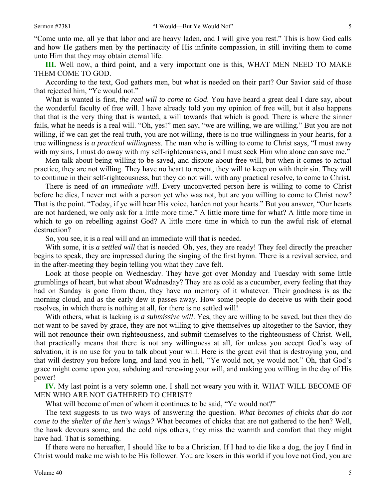"Come unto me, all ye that labor and are heavy laden, and I will give you rest." This is how God calls and how He gathers men by the pertinacity of His infinite compassion, in still inviting them to come unto Him that they may obtain eternal life.

**III.** Well now, a third point, and a very important one is this, WHAT MEN NEED TO MAKE THEM COME TO GOD.

According to the text, God gathers men, but what is needed on their part? Our Savior said of those that rejected him, "Ye would not."

What is wanted is first, *the real will to come to God*. You have heard a great deal I dare say, about the wonderful faculty of free will. I have already told you my opinion of free will, but it also happens that that is the very thing that is wanted, a will towards that which is good. There is where the sinner fails, what he needs is a real will. "Oh, yes!" men say, "we are willing, we are willing." But you are not willing, if we can get the real truth, you are not willing, there is no true willingness in your hearts, for a true willingness is *a practical willingness*. The man who is willing to come to Christ says, "I must away with my sins, I must do away with my self-righteousness, and I must seek Him who alone can save me."

Men talk about being willing to be saved, and dispute about free will, but when it comes to actual practice, they are not willing. They have no heart to repent, they will to keep on with their sin. They will to continue in their self-righteousness, but they do not will, with any practical resolve, to come to Christ.

There is need of *an immediate will*. Every unconverted person here is willing to come to Christ before he dies, I never met with a person yet who was not, but are you willing to come to Christ now? That is the point. "Today, if ye will hear His voice, harden not your hearts." But you answer, "Our hearts are not hardened, we only ask for a little more time." A little more time for what? A little more time in which to go on rebelling against God? A little more time in which to run the awful risk of eternal destruction?

So, you see, it is a real will and an immediate will that is needed.

With some, it is *a settled will* that is needed. Oh, yes, they are ready! They feel directly the preacher begins to speak, they are impressed during the singing of the first hymn. There is a revival service, and in the after-meeting they begin telling you what they have felt.

Look at those people on Wednesday. They have got over Monday and Tuesday with some little grumblings of heart, but what about Wednesday? They are as cold as a cucumber, every feeling that they had on Sunday is gone from them, they have no memory of it whatever. Their goodness is as the morning cloud, and as the early dew it passes away. How some people do deceive us with their good resolves, in which there is nothing at all, for there is no settled will!

With others, what is lacking is *a submissive will*. Yes, they are willing to be saved, but then they do not want to be saved by grace, they are not willing to give themselves up altogether to the Savior, they will not renounce their own righteousness, and submit themselves to the righteousness of Christ. Well, that practically means that there is not any willingness at all, for unless you accept God's way of salvation, it is no use for you to talk about your will. Here is the great evil that is destroying you, and that will destroy you before long, and land you in hell, "Ye would not, ye would not." Oh, that God's grace might come upon you, subduing and renewing your will, and making you willing in the day of His power!

**IV.** My last point is a very solemn one. I shall not weary you with it. WHAT WILL BECOME OF MEN WHO ARE NOT GATHERED TO CHRIST?

What will become of men of whom it continues to be said, "Ye would not?"

The text suggests to us two ways of answering the question. *What becomes of chicks that do not come to the shelter of the hen's wings?* What becomes of chicks that are not gathered to the hen? Well, the hawk devours some, and the cold nips others, they miss the warmth and comfort that they might have had. That is something.

If there were no hereafter, I should like to be a Christian. If I had to die like a dog, the joy I find in Christ would make me wish to be His follower. You are losers in this world if you love not God, you are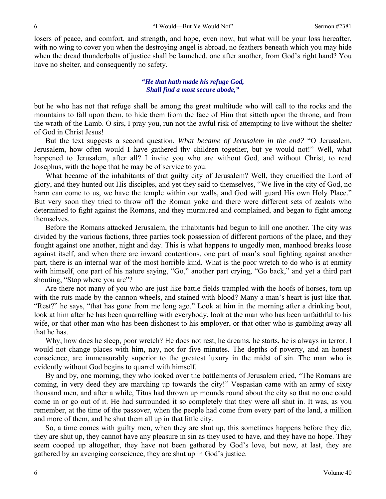losers of peace, and comfort, and strength, and hope, even now, but what will be your loss hereafter, with no wing to cover you when the destroying angel is abroad, no feathers beneath which you may hide when the dread thunderbolts of justice shall be launched, one after another, from God's right hand? You have no shelter, and consequently no safety.

#### *"He that hath made his refuge God, Shall find a most secure abode,"*

but he who has not that refuge shall be among the great multitude who will call to the rocks and the mountains to fall upon them, to hide them from the face of Him that sitteth upon the throne, and from the wrath of the Lamb. O sirs, I pray you, run not the awful risk of attempting to live without the shelter of God in Christ Jesus!

But the text suggests a second question, *What became of Jerusalem in the end?* "O Jerusalem, Jerusalem, how often would I have gathered thy children together, but ye would not!" Well, what happened to Jerusalem, after all? I invite you who are without God, and without Christ, to read Josephus, with the hope that he may be of service to you.

What became of the inhabitants of that guilty city of Jerusalem? Well, they crucified the Lord of glory, and they hunted out His disciples, and yet they said to themselves, "We live in the city of God, no harm can come to us, we have the temple within our walls, and God will guard His own Holy Place." But very soon they tried to throw off the Roman yoke and there were different sets of zealots who determined to fight against the Romans, and they murmured and complained, and began to fight among themselves.

Before the Romans attacked Jerusalem, the inhabitants had begun to kill one another. The city was divided by the various factions, three parties took possession of different portions of the place, and they fought against one another, night and day. This is what happens to ungodly men, manhood breaks loose against itself, and when there are inward contentions, one part of man's soul fighting against another part, there is an internal war of the most horrible kind. What is the poor wretch to do who is at enmity with himself, one part of his nature saying, "Go," another part crying, "Go back," and yet a third part shouting, "Stop where you are"?

Are there not many of you who are just like battle fields trampled with the hoofs of horses, torn up with the ruts made by the cannon wheels, and stained with blood? Many a man's heart is just like that. "Rest?" he says, "that has gone from me long ago." Look at him in the morning after a drinking bout, look at him after he has been quarrelling with everybody, look at the man who has been unfaithful to his wife, or that other man who has been dishonest to his employer, or that other who is gambling away all that he has.

Why, how does he sleep, poor wretch? He does not rest, he dreams, he starts, he is always in terror. I would not change places with him, nay, not for five minutes. The depths of poverty, and an honest conscience, are immeasurably superior to the greatest luxury in the midst of sin. The man who is evidently without God begins to quarrel with himself.

By and by, one morning, they who looked over the battlements of Jerusalem cried, "The Romans are coming, in very deed they are marching up towards the city!" Vespasian came with an army of sixty thousand men, and after a while, Titus had thrown up mounds round about the city so that no one could come in or go out of it. He had surrounded it so completely that they were all shut in. It was, as you remember, at the time of the passover, when the people had come from every part of the land, a million and more of them, and he shut them all up in that little city.

So, a time comes with guilty men, when they are shut up, this sometimes happens before they die, they are shut up, they cannot have any pleasure in sin as they used to have, and they have no hope. They seem cooped up altogether, they have not been gathered by God's love, but now, at last, they are gathered by an avenging conscience, they are shut up in God's justice.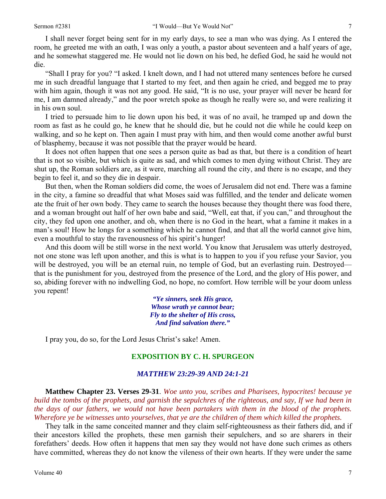I shall never forget being sent for in my early days, to see a man who was dying. As I entered the room, he greeted me with an oath, I was only a youth, a pastor about seventeen and a half years of age, and he somewhat staggered me. He would not lie down on his bed, he defied God, he said he would not die.

"Shall I pray for you? "I asked. I knelt down, and I had not uttered many sentences before he cursed me in such dreadful language that I started to my feet, and then again he cried, and begged me to pray with him again, though it was not any good. He said, "It is no use, your prayer will never be heard for me, I am damned already," and the poor wretch spoke as though he really were so, and were realizing it in his own soul.

I tried to persuade him to lie down upon his bed, it was of no avail, he tramped up and down the room as fast as he could go, he knew that he should die, but he could not die while he could keep on walking, and so he kept on. Then again I must pray with him, and then would come another awful burst of blasphemy, because it was not possible that the prayer would be heard.

It does not often happen that one sees a person quite as bad as that, but there is a condition of heart that is not so visible, but which is quite as sad, and which comes to men dying without Christ. They are shut up, the Roman soldiers are, as it were, marching all round the city, and there is no escape, and they begin to feel it, and so they die in despair.

But then, when the Roman soldiers did come, the woes of Jerusalem did not end. There was a famine in the city, a famine so dreadful that what Moses said was fulfilled, and the tender and delicate women ate the fruit of her own body. They came to search the houses because they thought there was food there, and a woman brought out half of her own babe and said, "Well, eat that, if you can," and throughout the city, they fed upon one another, and oh, when there is no God in the heart, what a famine it makes in a man's soul! How he longs for a something which he cannot find, and that all the world cannot give him, even a mouthful to stay the ravenousness of his spirit's hunger!

And this doom will be still worse in the next world. You know that Jerusalem was utterly destroyed, not one stone was left upon another, and this is what is to happen to you if you refuse your Savior, you will be destroyed, you will be an eternal ruin, no temple of God, but an everlasting ruin. Destroyed that is the punishment for you, destroyed from the presence of the Lord, and the glory of His power, and so, abiding forever with no indwelling God, no hope, no comfort. How terrible will be your doom unless you repent!

> *"Ye sinners, seek His grace, Whose wrath ye cannot bear; Fly to the shelter of His cross, And find salvation there."*

I pray you, do so, for the Lord Jesus Christ's sake! Amen.

### **EXPOSITION BY C. H. SPURGEON**

#### *MATTHEW 23:29-39 AND 24:1-21*

**Matthew Chapter 23. Verses 29-31**. *Woe unto you, scribes and Pharisees, hypocrites! because ye build the tombs of the prophets, and garnish the sepulchres of the righteous, and say, If we had been in the days of our fathers, we would not have been partakers with them in the blood of the prophets. Wherefore ye be witnesses unto yourselves, that ye are the children of them which killed the prophets.* 

They talk in the same conceited manner and they claim self-righteousness as their fathers did, and if their ancestors killed the prophets, these men garnish their sepulchers, and so are sharers in their forefathers' deeds. How often it happens that men say they would not have done such crimes as others have committed, whereas they do not know the vileness of their own hearts. If they were under the same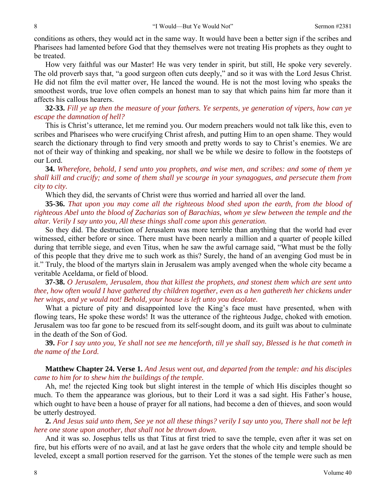conditions as others, they would act in the same way. It would have been a better sign if the scribes and Pharisees had lamented before God that they themselves were not treating His prophets as they ought to be treated.

How very faithful was our Master! He was very tender in spirit, but still, He spoke very severely. The old proverb says that, "a good surgeon often cuts deeply," and so it was with the Lord Jesus Christ. He did not film the evil matter over, He lanced the wound. He is not the most loving who speaks the smoothest words, true love often compels an honest man to say that which pains him far more than it affects his callous hearers.

**32-33.** *Fill ye up then the measure of your fathers. Ye serpents, ye generation of vipers, how can ye escape the damnation of hell?* 

This is Christ's utterance, let me remind you. Our modern preachers would not talk like this, even to scribes and Pharisees who were crucifying Christ afresh, and putting Him to an open shame. They would search the dictionary through to find very smooth and pretty words to say to Christ's enemies. We are not of their way of thinking and speaking, nor shall we be while we desire to follow in the footsteps of our Lord.

**34.** *Wherefore, behold, I send unto you prophets, and wise men, and scribes: and some of them ye shall kill and crucify; and some of them shall ye scourge in your synagogues, and persecute them from city to city.* 

Which they did, the servants of Christ were thus worried and harried all over the land.

**35-36.** *That upon you may come all the righteous blood shed upon the earth, from the blood of righteous Abel unto the blood of Zacharias son of Barachias, whom ye slew between the temple and the altar. Verily I say unto you, All these things shall come upon this generation.* 

So they did. The destruction of Jerusalem was more terrible than anything that the world had ever witnessed, either before or since. There must have been nearly a million and a quarter of people killed during that terrible siege, and even Titus, when he saw the awful carnage said, "What must be the folly of this people that they drive me to such work as this? Surely, the hand of an avenging God must be in it." Truly, the blood of the martyrs slain in Jerusalem was amply avenged when the whole city became a veritable Aceldama, or field of blood.

**37-38.** *O Jerusalem, Jerusalem, thou that killest the prophets, and stonest them which are sent unto thee, how often would I have gathered thy children together, even as a hen gathereth her chickens under her wings, and ye would not! Behold, your house is left unto you desolate.* 

What a picture of pity and disappointed love the King's face must have presented, when with flowing tears, He spoke these words! It was the utterance of the righteous Judge, choked with emotion. Jerusalem was too far gone to be rescued from its self-sought doom, and its guilt was about to culminate in the death of the Son of God.

**39.** *For I say unto you, Ye shall not see me henceforth, till ye shall say, Blessed is he that cometh in the name of the Lord.* 

**Matthew Chapter 24. Verse 1.** *And Jesus went out, and departed from the temple: and his disciples came to him for to shew him the buildings of the temple.* 

Ah, me! the rejected King took but slight interest in the temple of which His disciples thought so much. To them the appearance was glorious, but to their Lord it was a sad sight. His Father's house, which ought to have been a house of prayer for all nations, had become a den of thieves, and soon would be utterly destroyed.

**2.** *And Jesus said unto them, See ye not all these things? verily I say unto you, There shall not be left here one stone upon another, that shall not be thrown down.* 

And it was so. Josephus tells us that Titus at first tried to save the temple, even after it was set on fire, but his efforts were of no avail, and at last he gave orders that the whole city and temple should be leveled, except a small portion reserved for the garrison. Yet the stones of the temple were such as men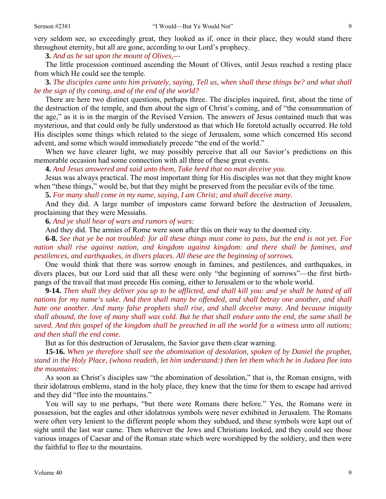very seldom see, so exceedingly great, they looked as if, once in their place, they would stand there throughout eternity, but all are gone, according to our Lord's prophecy.

**3.** *And as he sat upon the mount of Olives,—* 

The little procession continued ascending the Mount of Olives, until Jesus reached a resting place from which He could see the temple.

**3.** *The disciples came unto him privately, saying, Tell us, when shall these things be? and what shall be the sign of thy coming, and of the end of the world?* 

There are here two distinct questions, perhaps three. The disciples inquired, first, about the time of the destruction of the temple, and then about the sign of Christ's coming, and of "the consummation of the age," as it is in the margin of the Revised Version. The answers of Jesus contained much that was mysterious, and that could only be fully understood as that which He foretold actually occurred. He told His disciples some things which related to the siege of Jerusalem, some which concerned His second advent, and some which would immediately precede "the end of the world."

When we have clearer light, we may possibly perceive that all our Savior's predictions on this memorable occasion had some connection with all three of these great events.

**4.** *And Jesus answered and said unto them, Take heed that no man deceive you.* 

Jesus was always practical. The most important thing for His disciples was not that they might know when "these things," would be, but that they might be preserved from the peculiar evils of the time.

**5.** *For many shall come in my name, saying, I am Christ; and shall deceive many.* 

And they did. A large number of impostors came forward before the destruction of Jerusalem, proclaiming that they were Messiahs.

**6.** *And ye shall hear of wars and rumors of wars:* 

And they did. The armies of Rome were soon after this on their way to the doomed city.

**6-8.** *See that ye be not troubled: for all these things must come to pass, but the end is not yet. For nation shall rise against nation, and kingdom against kingdom: and there shall be famines, and pestilences, and earthquakes, in divers places. All these are the beginning of sorrows.* 

One would think that there was sorrow enough in famines, and pestilences, and earthquakes, in divers places, but our Lord said that all these were only "the beginning of sorrows"—the first birthpangs of the travail that must precede His coming, either to Jerusalem or to the whole world.

**9-14.** *Then shall they deliver you up to be afflicted, and shall kill you: and ye shall be hated of all nations for my name's sake. And then shall many be offended, and shall betray one another, and shall hate one another. And many false prophets shall rise, and shall deceive many. And because iniquity shall abound, the love of many shall wax cold. But he that shall endure unto the end, the same shall be saved. And this gospel of the kingdom shall be preached in all the world for a witness unto all nations; and then shall the end come.* 

But as for this destruction of Jerusalem, the Savior gave them clear warning.

**15-16.** *When ye therefore shall see the abomination of desolation, spoken of by Daniel the prophet, stand in the Holy Place, (whoso readeth, let him understand:) then let them which be in Judaea flee into the mountains:* 

As soon as Christ's disciples saw "the abomination of desolation," that is, the Roman ensigns, with their idolatrous emblems, stand in the holy place, they knew that the time for them to escape had arrived and they did "flee into the mountains."

You will say to me perhaps, "but there were Romans there before." Yes, the Romans were in possession, but the eagles and other idolatrous symbols were never exhibited in Jerusalem. The Romans were often very lenient to the different people whom they subdued, and these symbols were kept out of sight until the last war came. Then wherever the Jews and Christians looked, and they could see those various images of Caesar and of the Roman state which were worshipped by the soldiery, and then were the faithful to flee to the mountains.